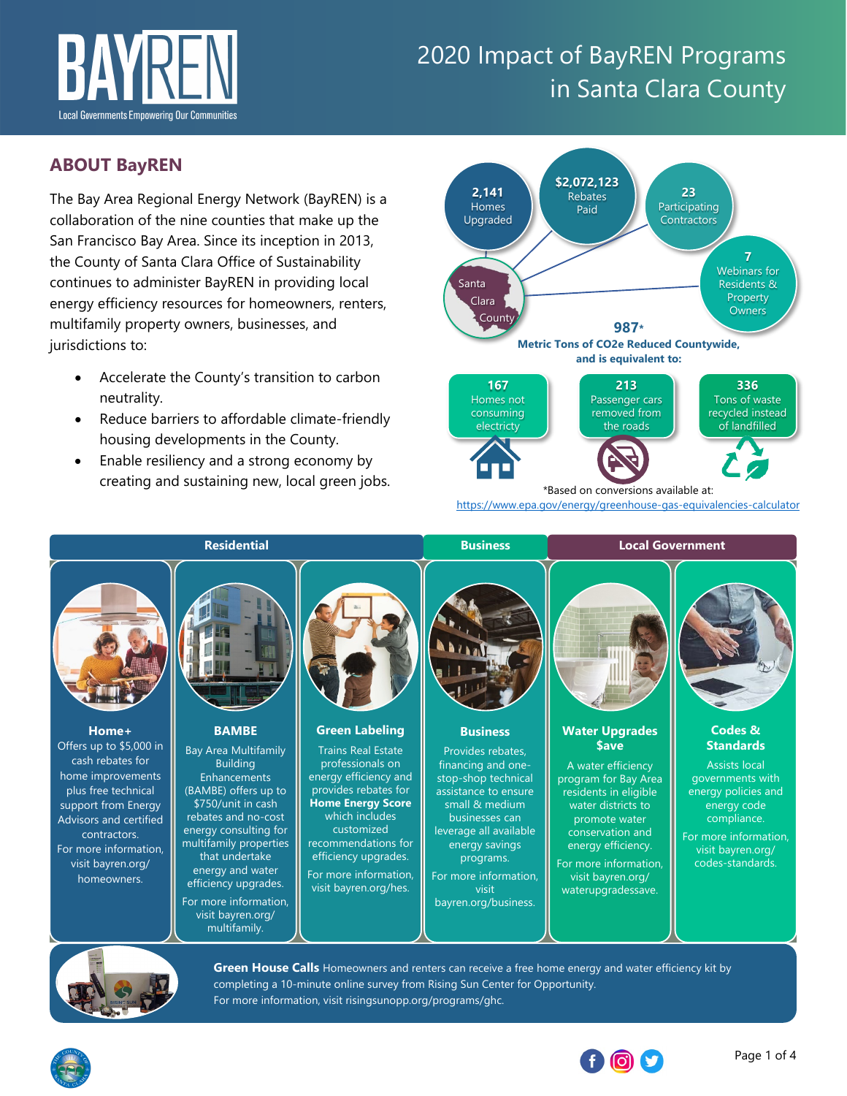

## **ABOUT BayREN**

The Bay Area Regional Energy Network (BayREN) is a collaboration of the nine counties that make up the San Francisco Bay Area. Since its inception in 2013, the County of Santa Clara Office of Sustainability continues to administer BayREN in providing local energy efficiency resources for homeowners, renters, multifamily property owners, businesses, and jurisdictions to:

- Accelerate the County's transition to carbon neutrality.
- Reduce barriers to affordable climate-friendly housing developments in the County.
- Enable resiliency and a strong economy by creating and sustaining new, local green jobs.



<https://www.epa.gov/energy/greenhouse-gas-equivalencies-calculator>





**Green House Calls** [Homeowners and renters can receive a free home energy and water efficiency kit by](https://risingsunopp.org/programs/ghc/)  completing a 10-minute online survey from Rising Sun Center for Opportunity. For more information, visit [risingsunopp.org/programs/ghc.](https://risingsunopp.org/programs/ghc/) 



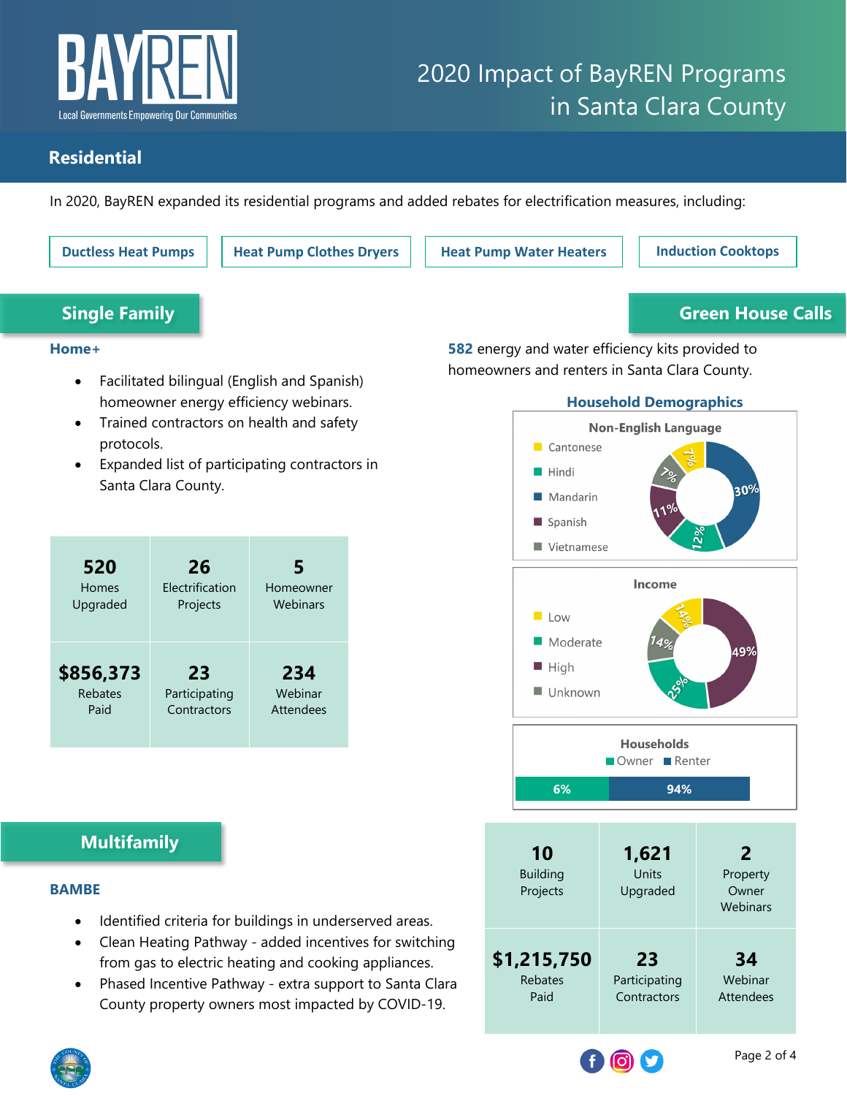

## **Residential**

In 2020, BayREN expanded its residential programs and added rebates for electrification measures, including:

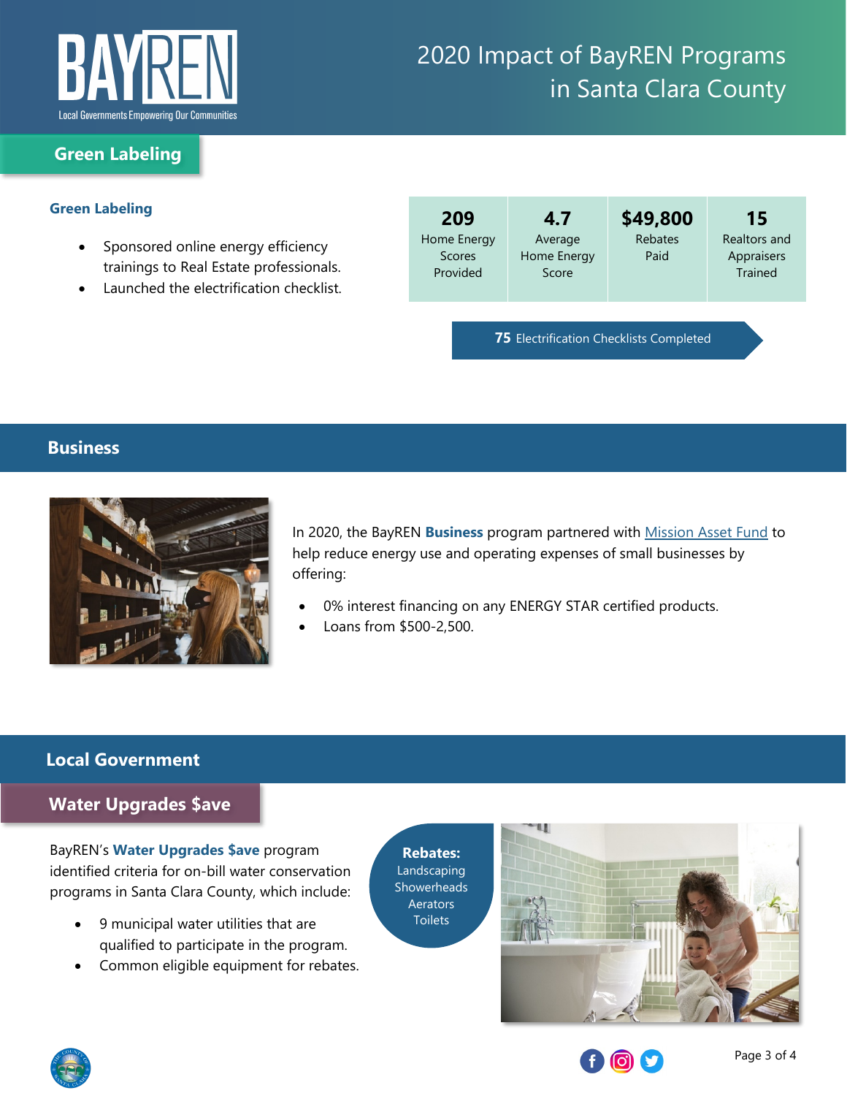

### **Green Labeling**

#### **Green Labeling**

- Sponsored online energy efficiency trainings to Real Estate professionals.
- Launched the electrification checklist.

| 209<br>Home Energy<br>Scores<br>Provided       | 4.7<br>Average<br>Home Energy<br>Score | \$49,800<br>Rebates<br>Paid | 15<br>Realtors and<br>Appraisers<br><b>Trained</b> |  |  |  |
|------------------------------------------------|----------------------------------------|-----------------------------|----------------------------------------------------|--|--|--|
| <b>75 Electrification Checklists Completed</b> |                                        |                             |                                                    |  |  |  |

#### **Business**



In 2020, the BayREN **Business** program partnered with [Mission Asset Fund](https://www.missionassetfund.org/bayren/) to help reduce energy use and operating expenses of small businesses by offering:

- 0% interest financing on any ENERGY STAR certified products.
- Loans from \$500-2,500.

### **Local Government**

### **Water Upgrades \$ave**

BayREN's **Water Upgrades \$ave** program identified criteria for on-bill water conservation programs in Santa Clara County, which include:

- 9 municipal water utilities that are qualified to participate in the program.
- Common eligible equipment for rebates.

**Rebates:** Landscaping **Showerheads Aerators Toilets**